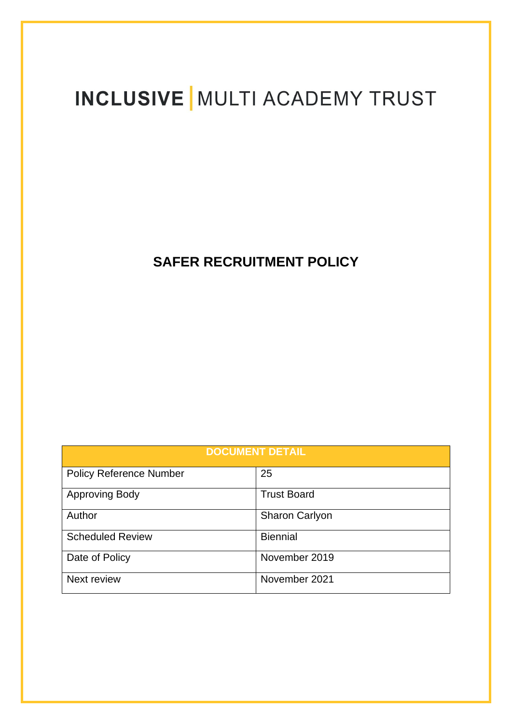# **INCLUSIVE | MULTI ACADEMY TRUST**

# **SAFER RECRUITMENT POLICY**

| <b>DOCUMENT DETAIL</b>         |                       |  |  |
|--------------------------------|-----------------------|--|--|
| <b>Policy Reference Number</b> | 25                    |  |  |
| <b>Approving Body</b>          | <b>Trust Board</b>    |  |  |
| Author                         | <b>Sharon Carlyon</b> |  |  |
| <b>Scheduled Review</b>        | <b>Biennial</b>       |  |  |
| Date of Policy                 | November 2019         |  |  |
| Next review                    | November 2021         |  |  |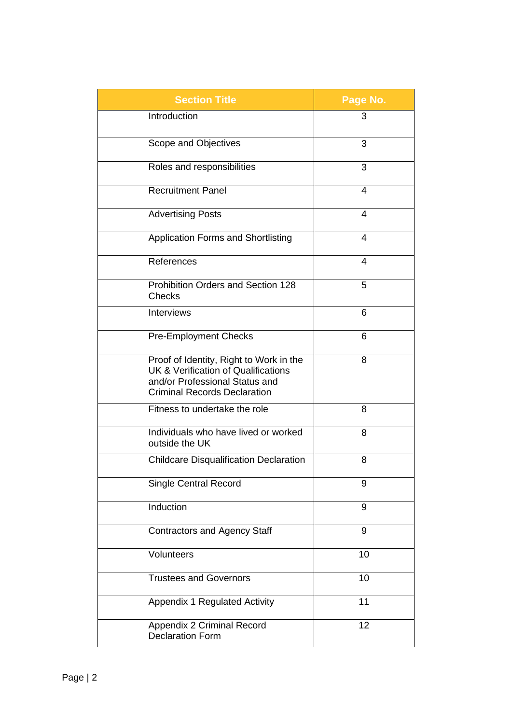| <b>Section Title</b>                                                                                                                                    | Page No. |
|---------------------------------------------------------------------------------------------------------------------------------------------------------|----------|
| Introduction                                                                                                                                            | 3        |
| Scope and Objectives                                                                                                                                    | 3        |
| Roles and responsibilities                                                                                                                              | 3        |
| <b>Recruitment Panel</b>                                                                                                                                | 4        |
| <b>Advertising Posts</b>                                                                                                                                | 4        |
| <b>Application Forms and Shortlisting</b>                                                                                                               | 4        |
| References                                                                                                                                              | 4        |
| <b>Prohibition Orders and Section 128</b><br><b>Checks</b>                                                                                              | 5        |
| Interviews                                                                                                                                              | 6        |
| <b>Pre-Employment Checks</b>                                                                                                                            | 6        |
| Proof of Identity, Right to Work in the<br>UK & Verification of Qualifications<br>and/or Professional Status and<br><b>Criminal Records Declaration</b> | 8        |
| Fitness to undertake the role                                                                                                                           | 8        |
| Individuals who have lived or worked<br>outside the UK                                                                                                  | 8        |
| <b>Childcare Disqualification Declaration</b>                                                                                                           | 8        |
| <b>Single Central Record</b>                                                                                                                            | 9        |
| Induction                                                                                                                                               | 9        |
| <b>Contractors and Agency Staff</b>                                                                                                                     | 9        |
| Volunteers                                                                                                                                              | 10       |
| <b>Trustees and Governors</b>                                                                                                                           | 10       |
| Appendix 1 Regulated Activity                                                                                                                           | 11       |
| Appendix 2 Criminal Record<br><b>Declaration Form</b>                                                                                                   | 12       |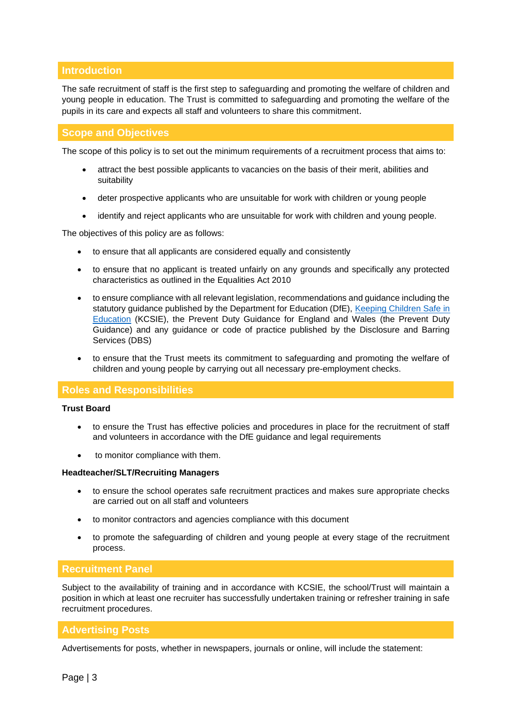# **Introduction**

The safe recruitment of staff is the first step to safeguarding and promoting the welfare of children and young people in education. The Trust is committed to safeguarding and promoting the welfare of the pupils in its care and expects all staff and volunteers to share this commitment.

# **Scope and Objectives**

The scope of this policy is to set out the minimum requirements of a recruitment process that aims to:

- attract the best possible applicants to vacancies on the basis of their merit, abilities and suitability
- deter prospective applicants who are unsuitable for work with children or young people
- identify and reject applicants who are unsuitable for work with children and young people.

The objectives of this policy are as follows:

- to ensure that all applicants are considered equally and consistently
- to ensure that no applicant is treated unfairly on any grounds and specifically any protected characteristics as outlined in the Equalities Act 2010
- to ensure compliance with all relevant legislation, recommendations and guidance including the statutory guidance published by the Department for Education (DfE), [Keeping Children Safe in](https://www.gov.uk/government/publications/keeping-children-safe-in-education--2)  [Education](https://www.gov.uk/government/publications/keeping-children-safe-in-education--2) (KCSIE), the Prevent Duty Guidance for England and Wales (the Prevent Duty Guidance) and any guidance or code of practice published by the Disclosure and Barring Services (DBS)
- to ensure that the Trust meets its commitment to safeguarding and promoting the welfare of children and young people by carrying out all necessary pre-employment checks.

#### **Roles and Responsibilities**

#### **Trust Board**

- to ensure the Trust has effective policies and procedures in place for the recruitment of staff and volunteers in accordance with the DfE guidance and legal requirements
- to monitor compliance with them.

#### **Headteacher/SLT/Recruiting Managers**

- to ensure the school operates safe recruitment practices and makes sure appropriate checks are carried out on all staff and volunteers
- to monitor contractors and agencies compliance with this document
- to promote the safeguarding of children and young people at every stage of the recruitment process.

### **Recruitment Panel**

Subject to the availability of training and in accordance with KCSIE, the school/Trust will maintain a position in which at least one recruiter has successfully undertaken training or refresher training in safe recruitment procedures.

#### **Advertising Posts**

Advertisements for posts, whether in newspapers, journals or online, will include the statement: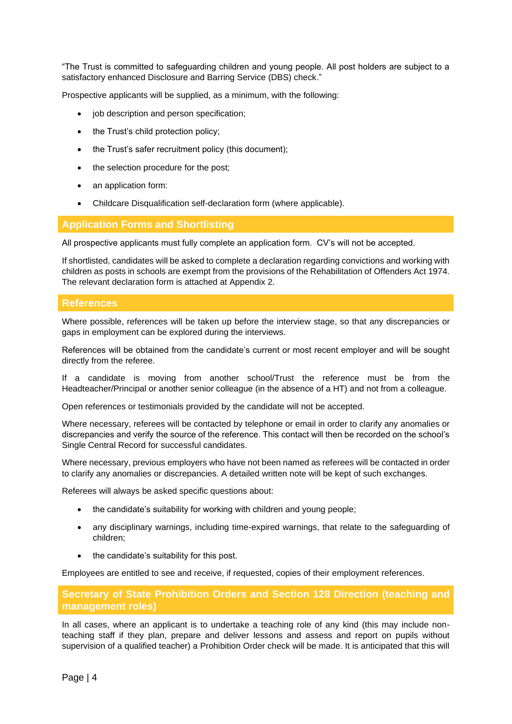"The Trust is committed to safeguarding children and young people. All post holders are subject to a satisfactory enhanced Disclosure and Barring Service (DBS) check."

Prospective applicants will be supplied, as a minimum, with the following:

- job description and person specification;
- the Trust's child protection policy:
- the Trust's safer recruitment policy (this document):
- the selection procedure for the post;
- an application form:
- Childcare Disqualification self-declaration form (where applicable).

#### **Application Forms and Shortlisting**

All prospective applicants must fully complete an application form. CV's will not be accepted.

If shortlisted, candidates will be asked to complete a declaration regarding convictions and working with children as posts in schools are exempt from the provisions of the Rehabilitation of Offenders Act 1974. The relevant declaration form is attached at Appendix 2.

#### **References**

Where possible, references will be taken up before the interview stage, so that any discrepancies or gaps in employment can be explored during the interviews.

References will be obtained from the candidate's current or most recent employer and will be sought directly from the referee.

If a candidate is moving from another school/Trust the reference must be from the Headteacher/Principal or another senior colleague (in the absence of a HT) and not from a colleague.

Open references or testimonials provided by the candidate will not be accepted.

Where necessary, referees will be contacted by telephone or email in order to clarify any anomalies or discrepancies and verify the source of the reference. This contact will then be recorded on the school's Single Central Record for successful candidates.

Where necessary, previous employers who have not been named as referees will be contacted in order to clarify any anomalies or discrepancies. A detailed written note will be kept of such exchanges.

Referees will always be asked specific questions about:

- the candidate's suitability for working with children and young people;
- any disciplinary warnings, including time-expired warnings, that relate to the safeguarding of children;
- the candidate's suitability for this post.

Employees are entitled to see and receive, if requested, copies of their employment references.

**Secretary of State Prohibition Orders and Section 128 Direction (teaching and management roles)**

In all cases, where an applicant is to undertake a teaching role of any kind (this may include nonteaching staff if they plan, prepare and deliver lessons and assess and report on pupils without supervision of a qualified teacher) a Prohibition Order check will be made. It is anticipated that this will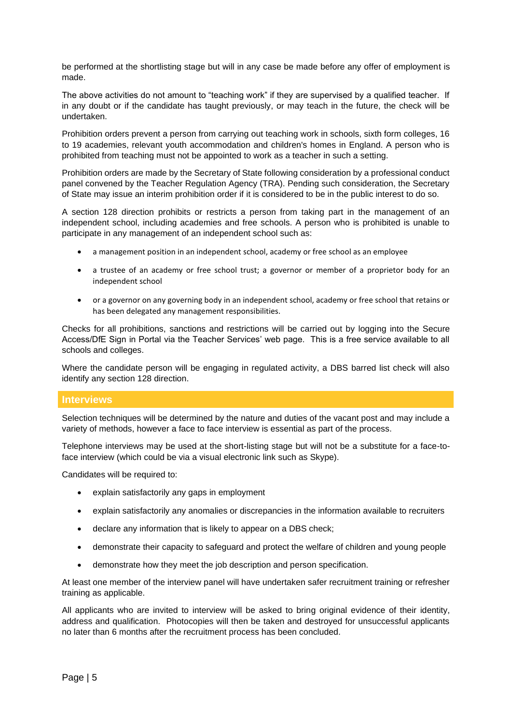be performed at the shortlisting stage but will in any case be made before any offer of employment is made.

The above activities do not amount to "teaching work" if they are supervised by a qualified teacher. If in any doubt or if the candidate has taught previously, or may teach in the future, the check will be undertaken.

Prohibition orders prevent a person from carrying out teaching work in schools, sixth form colleges, 16 to 19 academies, relevant youth accommodation and children's homes in England. A person who is prohibited from teaching must not be appointed to work as a teacher in such a setting.

Prohibition orders are made by the Secretary of State following consideration by a professional conduct panel convened by the Teacher Regulation Agency (TRA). Pending such consideration, the Secretary of State may issue an interim prohibition order if it is considered to be in the public interest to do so.

A section 128 direction prohibits or restricts a person from taking part in the management of an independent school, including academies and free schools. A person who is prohibited is unable to participate in any management of an independent school such as:

- a management position in an independent school, academy or free school as an employee
- a trustee of an academy or free school trust: a governor or member of a proprietor body for an independent school
- or a governor on any governing body in an independent school, academy or free school that retains or has been delegated any management responsibilities.

Checks for all prohibitions, sanctions and restrictions will be carried out by logging into the Secure Access/DfE Sign in Portal via the Teacher Services' web page. This is a free service available to all schools and colleges.

Where the candidate person will be engaging in regulated activity, a DBS barred list check will also identify any section 128 direction.

# **Interviews**

Selection techniques will be determined by the nature and duties of the vacant post and may include a variety of methods, however a face to face interview is essential as part of the process.

Telephone interviews may be used at the short-listing stage but will not be a substitute for a face-toface interview (which could be via a visual electronic link such as Skype).

Candidates will be required to:

- explain satisfactorily any gaps in employment
- explain satisfactorily any anomalies or discrepancies in the information available to recruiters
- declare any information that is likely to appear on a DBS check;
- demonstrate their capacity to safeguard and protect the welfare of children and young people
- demonstrate how they meet the job description and person specification.

At least one member of the interview panel will have undertaken safer recruitment training or refresher training as applicable.

All applicants who are invited to interview will be asked to bring original evidence of their identity, address and qualification. Photocopies will then be taken and destroyed for unsuccessful applicants no later than 6 months after the recruitment process has been concluded.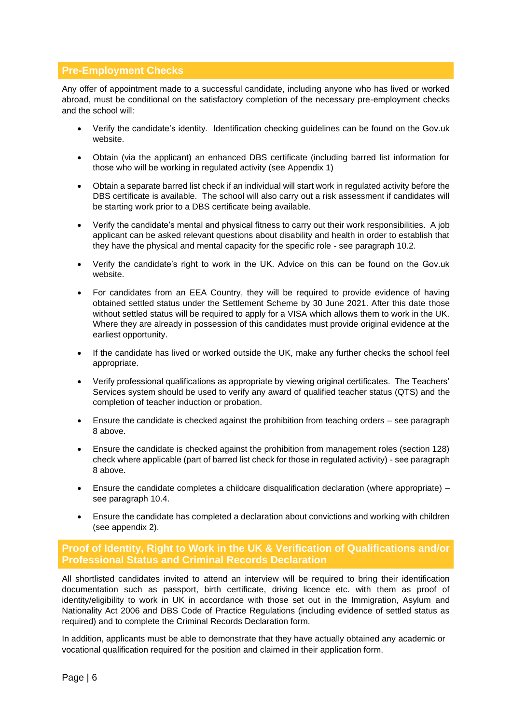# **Pre-Employment Checks**

Any offer of appointment made to a successful candidate, including anyone who has lived or worked abroad, must be conditional on the satisfactory completion of the necessary pre-employment checks and the school will:

- Verify the candidate's identity. Identification checking guidelines can be found on the Gov.uk website.
- Obtain (via the applicant) an enhanced DBS certificate (including barred list information for those who will be working in regulated activity (see Appendix 1)
- Obtain a separate barred list check if an individual will start work in regulated activity before the DBS certificate is available. The school will also carry out a risk assessment if candidates will be starting work prior to a DBS certificate being available.
- Verify the candidate's mental and physical fitness to carry out their work responsibilities. A job applicant can be asked relevant questions about disability and health in order to establish that they have the physical and mental capacity for the specific role - see paragraph 10.2.
- Verify the candidate's right to work in the UK. Advice on this can be found on the Gov.uk website.
- For candidates from an EEA Country, they will be required to provide evidence of having obtained settled status under the Settlement Scheme by 30 June 2021. After this date those without settled status will be required to apply for a VISA which allows them to work in the UK. Where they are already in possession of this candidates must provide original evidence at the earliest opportunity.
- If the candidate has lived or worked outside the UK, make any further checks the school feel appropriate.
- Verify professional qualifications as appropriate by viewing original certificates. The Teachers' Services system should be used to verify any award of qualified teacher status (QTS) and the completion of teacher induction or probation.
- Ensure the candidate is checked against the prohibition from teaching orders see paragraph 8 above.
- Ensure the candidate is checked against the prohibition from management roles (section 128) check where applicable (part of barred list check for those in regulated activity) - see paragraph 8 above.
- Ensure the candidate completes a childcare disqualification declaration (where appropriate) see paragraph 10.4.
- Ensure the candidate has completed a declaration about convictions and working with children (see appendix 2).

# **Proof of Identity, Right to Work in the UK & Verification of Qualifications and/or Professional Status and Criminal Records Declaration**

All shortlisted candidates invited to attend an interview will be required to bring their identification documentation such as passport, birth certificate, driving licence etc. with them as proof of identity/eligibility to work in UK in accordance with those set out in the Immigration, Asylum and Nationality Act 2006 and DBS Code of Practice Regulations (including evidence of settled status as required) and to complete the Criminal Records Declaration form.

In addition, applicants must be able to demonstrate that they have actually obtained any academic or vocational qualification required for the position and claimed in their application form.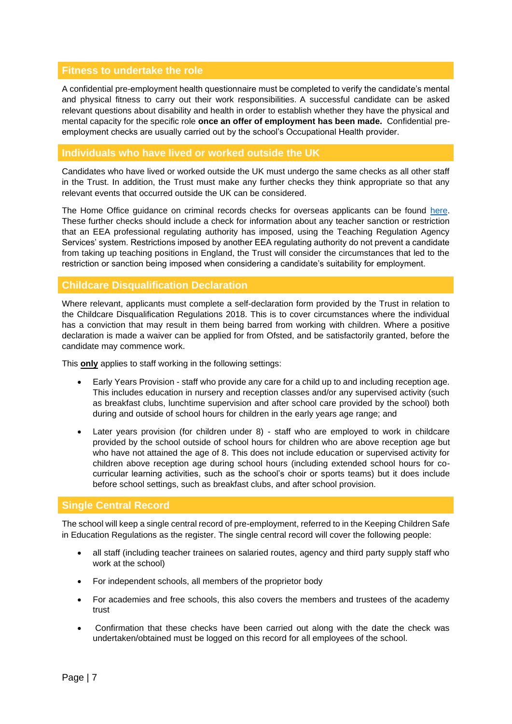# **Fitness to undertake the role**

A confidential pre-employment health questionnaire must be completed to verify the candidate's mental and physical fitness to carry out their work responsibilities. A successful candidate can be asked relevant questions about disability and health in order to establish whether they have the physical and mental capacity for the specific role **once an offer of employment has been made.** Confidential preemployment checks are usually carried out by the school's Occupational Health provider.

# **Individuals who have lived or worked outside the UK**

Candidates who have lived or worked outside the UK must undergo the same checks as all other staff in the Trust. In addition, the Trust must make any further checks they think appropriate so that any relevant events that occurred outside the UK can be considered.

The Home Office guidance on criminal records checks for overseas applicants can be found [here.](https://www.gov.uk/government/publications/criminal-records-checks-for-overseas-applicants) These further checks should include a check for information about any teacher sanction or restriction that an EEA professional regulating authority has imposed, using the Teaching Regulation Agency Services' system. Restrictions imposed by another EEA regulating authority do not prevent a candidate from taking up teaching positions in England, the Trust will consider the circumstances that led to the restriction or sanction being imposed when considering a candidate's suitability for employment.

#### **Childcare Disqualification Declaration**

Where relevant, applicants must complete a self-declaration form provided by the Trust in relation to the Childcare Disqualification Regulations 2018. This is to cover circumstances where the individual has a conviction that may result in them being barred from working with children. Where a positive declaration is made a waiver can be applied for from Ofsted, and be satisfactorily granted, before the candidate may commence work.

This **only** applies to staff working in the following settings:

- Early Years Provision staff who provide any care for a child up to and including reception age. This includes education in nursery and reception classes and/or any supervised activity (such as breakfast clubs, lunchtime supervision and after school care provided by the school) both during and outside of school hours for children in the early years age range; and
- Later years provision (for children under 8) staff who are employed to work in childcare provided by the school outside of school hours for children who are above reception age but who have not attained the age of 8. This does not include education or supervised activity for children above reception age during school hours (including extended school hours for cocurricular learning activities, such as the school's choir or sports teams) but it does include before school settings, such as breakfast clubs, and after school provision.

# **Single Central Record**

The school will keep a single central record of pre-employment, referred to in the Keeping Children Safe in Education Regulations as the register. The single central record will cover the following people:

- all staff (including teacher trainees on salaried routes, agency and third party supply staff who work at the school)
- For independent schools, all members of the proprietor body
- For academies and free schools, this also covers the members and trustees of the academy trust
- Confirmation that these checks have been carried out along with the date the check was undertaken/obtained must be logged on this record for all employees of the school.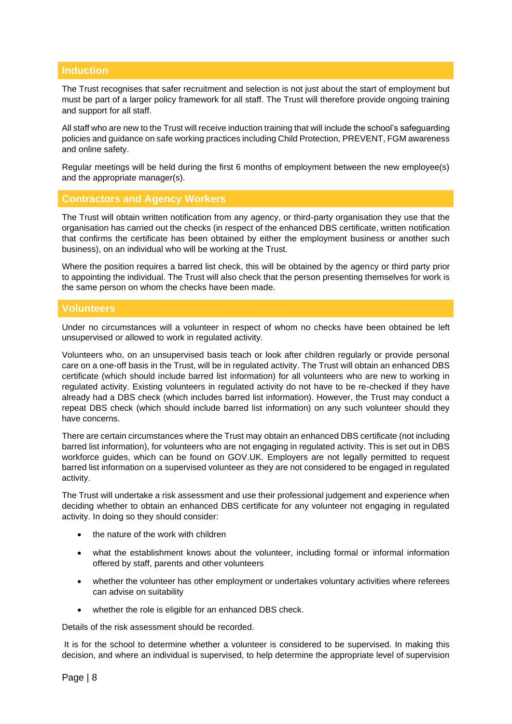# **Induction**

The Trust recognises that safer recruitment and selection is not just about the start of employment but must be part of a larger policy framework for all staff. The Trust will therefore provide ongoing training and support for all staff.

All staff who are new to the Trust will receive induction training that will include the school's safeguarding policies and guidance on safe working practices including Child Protection, PREVENT, FGM awareness and online safety.

Regular meetings will be held during the first 6 months of employment between the new employee(s) and the appropriate manager(s).

### **Contractors and Agency Workers**

The Trust will obtain written notification from any agency, or third-party organisation they use that the organisation has carried out the checks (in respect of the enhanced DBS certificate, written notification that confirms the certificate has been obtained by either the employment business or another such business), on an individual who will be working at the Trust.

Where the position requires a barred list check, this will be obtained by the agency or third party prior to appointing the individual. The Trust will also check that the person presenting themselves for work is the same person on whom the checks have been made.

# **Volunteers**

Under no circumstances will a volunteer in respect of whom no checks have been obtained be left unsupervised or allowed to work in regulated activity.

Volunteers who, on an unsupervised basis teach or look after children regularly or provide personal care on a one-off basis in the Trust, will be in regulated activity. The Trust will obtain an enhanced DBS certificate (which should include barred list information) for all volunteers who are new to working in regulated activity. Existing volunteers in regulated activity do not have to be re-checked if they have already had a DBS check (which includes barred list information). However, the Trust may conduct a repeat DBS check (which should include barred list information) on any such volunteer should they have concerns.

There are certain circumstances where the Trust may obtain an enhanced DBS certificate (not including barred list information), for volunteers who are not engaging in regulated activity. This is set out in DBS workforce guides, which can be found on GOV.UK. Employers are not legally permitted to request barred list information on a supervised volunteer as they are not considered to be engaged in regulated activity.

The Trust will undertake a risk assessment and use their professional judgement and experience when deciding whether to obtain an enhanced DBS certificate for any volunteer not engaging in regulated activity. In doing so they should consider:

- the nature of the work with children
- what the establishment knows about the volunteer, including formal or informal information offered by staff, parents and other volunteers
- whether the volunteer has other employment or undertakes voluntary activities where referees can advise on suitability
- whether the role is eligible for an enhanced DBS check.

Details of the risk assessment should be recorded.

It is for the school to determine whether a volunteer is considered to be supervised. In making this decision, and where an individual is supervised, to help determine the appropriate level of supervision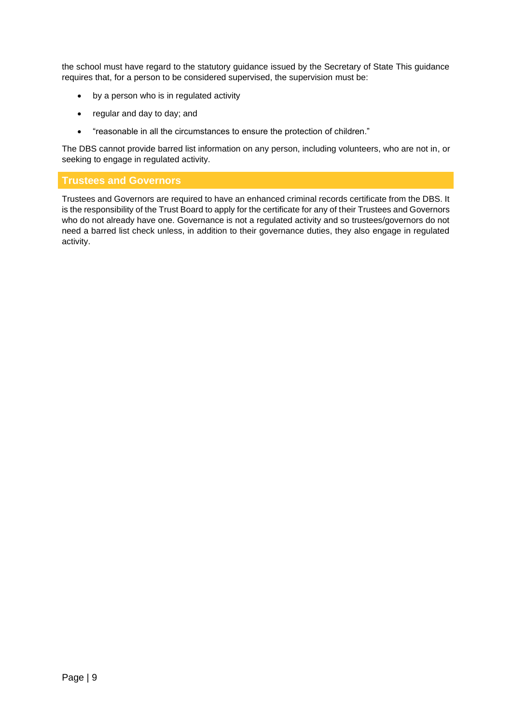the school must have regard to the statutory guidance issued by the Secretary of State This guidance requires that, for a person to be considered supervised, the supervision must be:

- by a person who is in regulated activity
- regular and day to day; and
- "reasonable in all the circumstances to ensure the protection of children."

The DBS cannot provide barred list information on any person, including volunteers, who are not in, or seeking to engage in regulated activity.

# **Trustees and Governors**

Trustees and Governors are required to have an enhanced criminal records certificate from the DBS. It is the responsibility of the Trust Board to apply for the certificate for any of their Trustees and Governors who do not already have one. Governance is not a regulated activity and so trustees/governors do not need a barred list check unless, in addition to their governance duties, they also engage in regulated activity.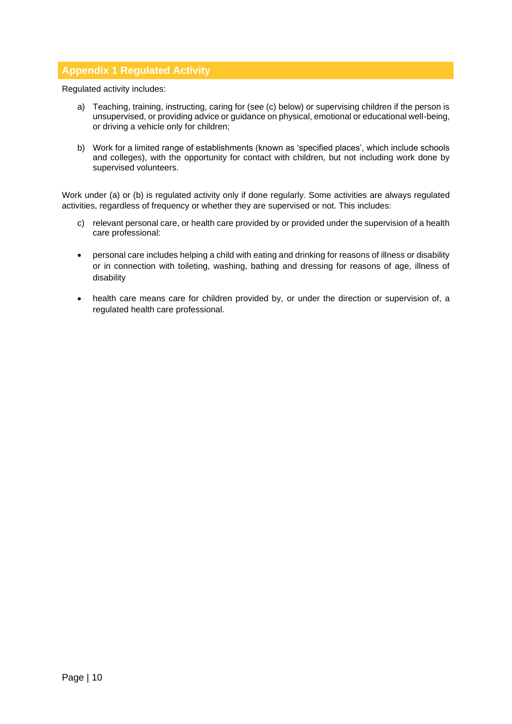# **Appendix 1 Regulated Activity**

Regulated activity includes:

- a) Teaching, training, instructing, caring for (see (c) below) or supervising children if the person is unsupervised, or providing advice or guidance on physical, emotional or educational well-being, or driving a vehicle only for children;
- b) Work for a limited range of establishments (known as 'specified places', which include schools and colleges), with the opportunity for contact with children, but not including work done by supervised volunteers.

Work under (a) or (b) is regulated activity only if done regularly. Some activities are always regulated activities, regardless of frequency or whether they are supervised or not. This includes:

- c) relevant personal care, or health care provided by or provided under the supervision of a health care professional:
- personal care includes helping a child with eating and drinking for reasons of illness or disability or in connection with toileting, washing, bathing and dressing for reasons of age, illness of disability
- health care means care for children provided by, or under the direction or supervision of, a regulated health care professional.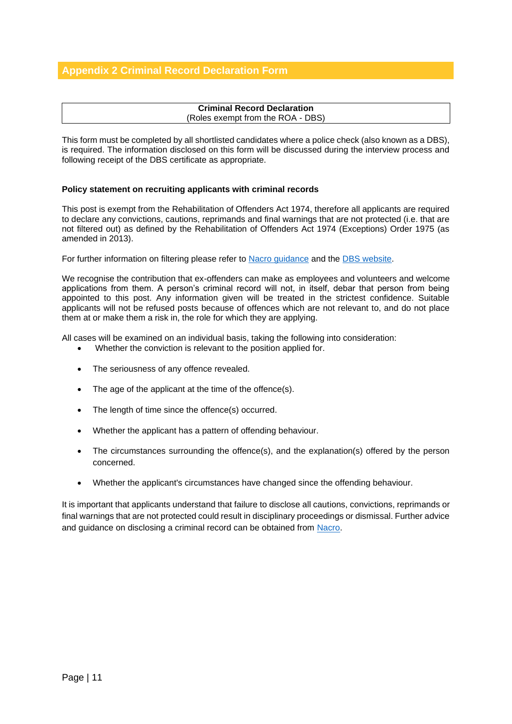#### **Criminal Record Declaration** (Roles exempt from the ROA - DBS)

This form must be completed by all shortlisted candidates where a police check (also known as a DBS), is required. The information disclosed on this form will be discussed during the interview process and following receipt of the DBS certificate as appropriate.

#### **Policy statement on recruiting applicants with criminal records**

This post is exempt from the Rehabilitation of Offenders Act 1974, therefore all applicants are required to declare any convictions, cautions, reprimands and final warnings that are not protected (i.e. that are not filtered out) as defined by the Rehabilitation of Offenders Act 1974 (Exceptions) Order 1975 (as amended in 2013).

For further information on filtering please refer to [Nacro guidance](https://www.nacro.org.uk/resettlement-advice-service/support-for-practitioners/the-law-on-disclosure/#spent) and the [DBS website.](https://www.gov.uk/government/publications/dbs-filtering-guidance/dbs-filtering-guide)

We recognise the contribution that ex-offenders can make as employees and volunteers and welcome applications from them. A person's criminal record will not, in itself, debar that person from being appointed to this post. Any information given will be treated in the strictest confidence. Suitable applicants will not be refused posts because of offences which are not relevant to, and do not place them at or make them a risk in, the role for which they are applying.

All cases will be examined on an individual basis, taking the following into consideration:

- Whether the conviction is relevant to the position applied for.
- The seriousness of any offence revealed.
- The age of the applicant at the time of the offence(s).
- The length of time since the offence(s) occurred.
- Whether the applicant has a pattern of offending behaviour.
- The circumstances surrounding the offence(s), and the explanation(s) offered by the person concerned.
- Whether the applicant's circumstances have changed since the offending behaviour.

It is important that applicants understand that failure to disclose all cautions, convictions, reprimands or final warnings that are not protected could result in disciplinary proceedings or dismissal. Further advice and guidance on disclosing a criminal record can be obtained from [Nacro.](http://www.nacro.org.uk/data/files/practical-guidance-on-dbs-filtering-1032.pdf)